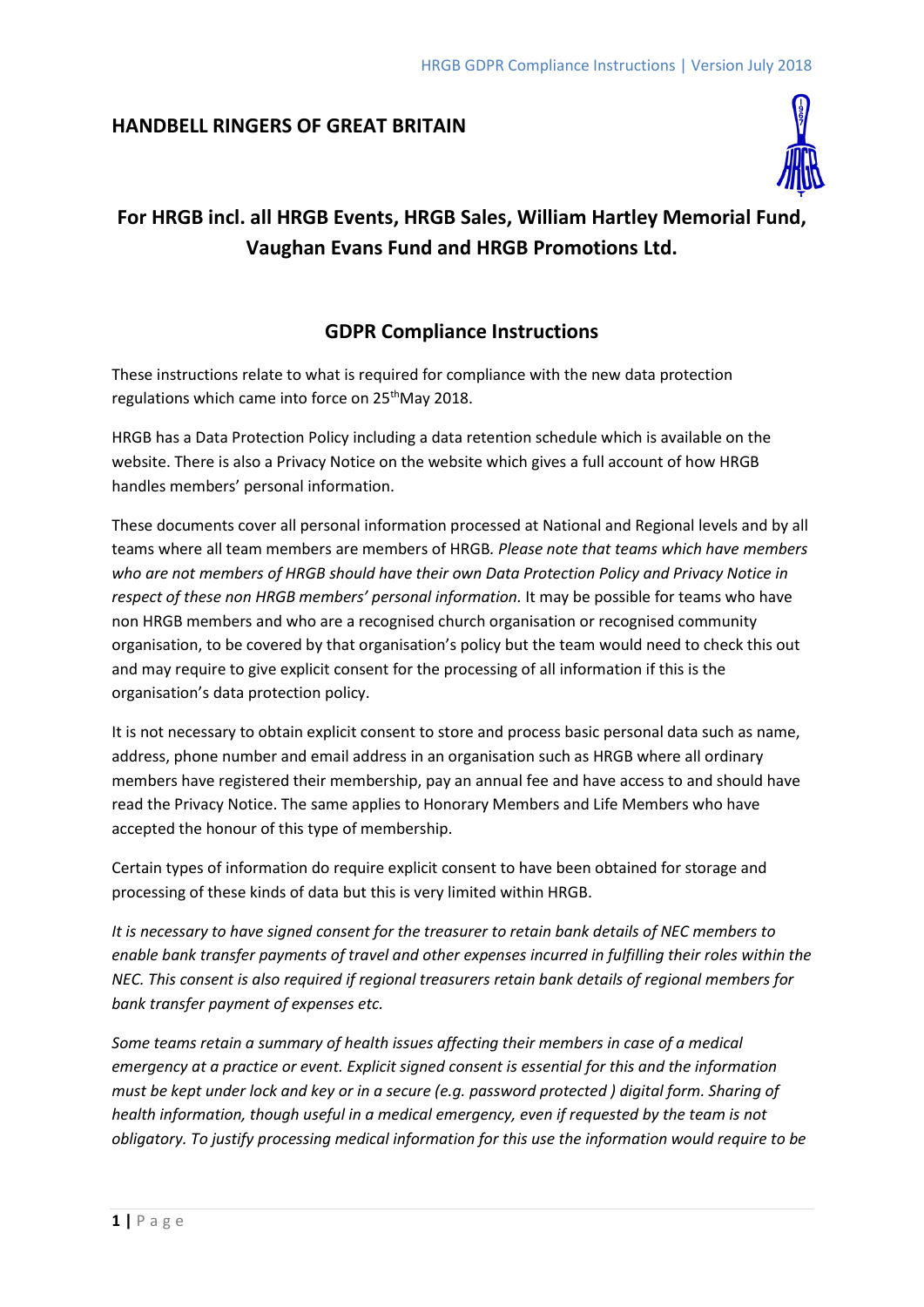## **HANDBELL RINGERS OF GREAT BRITAIN**



# **For HRGB incl. all HRGB Events, HRGB Sales, William Hartley Memorial Fund, Vaughan Evans Fund and HRGB Promotions Ltd.**

# **GDPR Compliance Instructions**

These instructions relate to what is required for compliance with the new data protection regulations which came into force on 25<sup>th</sup>May 2018.

HRGB has a Data Protection Policy including a data retention schedule which is available on the website. There is also a Privacy Notice on the website which gives a full account of how HRGB handles members' personal information.

These documents cover all personal information processed at National and Regional levels and by all teams where all team members are members of HRGB*. Please note that teams which have members who are not members of HRGB should have their own Data Protection Policy and Privacy Notice in respect of these non HRGB members' personal information.* It may be possible for teams who have non HRGB members and who are a recognised church organisation or recognised community organisation, to be covered by that organisation's policy but the team would need to check this out and may require to give explicit consent for the processing of all information if this is the organisation's data protection policy.

It is not necessary to obtain explicit consent to store and process basic personal data such as name, address, phone number and email address in an organisation such as HRGB where all ordinary members have registered their membership, pay an annual fee and have access to and should have read the Privacy Notice. The same applies to Honorary Members and Life Members who have accepted the honour of this type of membership.

Certain types of information do require explicit consent to have been obtained for storage and processing of these kinds of data but this is very limited within HRGB.

*It is necessary to have signed consent for the treasurer to retain bank details of NEC members to enable bank transfer payments of travel and other expenses incurred in fulfilling their roles within the NEC. This consent is also required if regional treasurers retain bank details of regional members for bank transfer payment of expenses etc.*

*Some teams retain a summary of health issues affecting their members in case of a medical emergency at a practice or event. Explicit signed consent is essential for this and the information must be kept under lock and key or in a secure (e.g. password protected ) digital form. Sharing of health information, though useful in a medical emergency, even if requested by the team is not obligatory. To justify processing medical information for this use the information would require to be*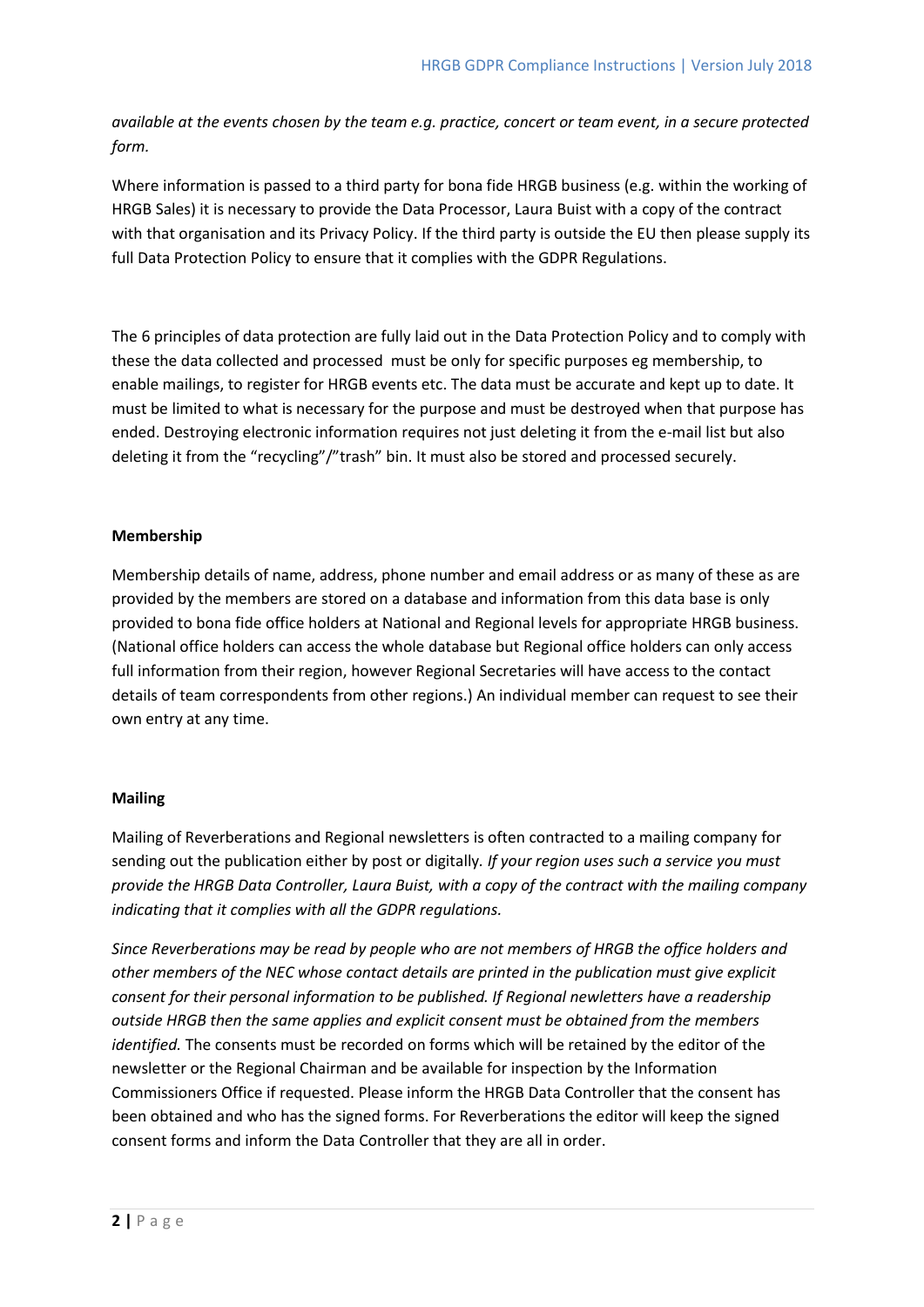*available at the events chosen by the team e.g. practice, concert or team event, in a secure protected form.*

Where information is passed to a third party for bona fide HRGB business (e.g. within the working of HRGB Sales) it is necessary to provide the Data Processor, Laura Buist with a copy of the contract with that organisation and its Privacy Policy. If the third party is outside the EU then please supply its full Data Protection Policy to ensure that it complies with the GDPR Regulations.

The 6 principles of data protection are fully laid out in the Data Protection Policy and to comply with these the data collected and processed must be only for specific purposes eg membership, to enable mailings, to register for HRGB events etc. The data must be accurate and kept up to date. It must be limited to what is necessary for the purpose and must be destroyed when that purpose has ended. Destroying electronic information requires not just deleting it from the e-mail list but also deleting it from the "recycling"/"trash" bin. It must also be stored and processed securely.

### **Membership**

Membership details of name, address, phone number and email address or as many of these as are provided by the members are stored on a database and information from this data base is only provided to bona fide office holders at National and Regional levels for appropriate HRGB business. (National office holders can access the whole database but Regional office holders can only access full information from their region, however Regional Secretaries will have access to the contact details of team correspondents from other regions.) An individual member can request to see their own entry at any time.

## **Mailing**

Mailing of Reverberations and Regional newsletters is often contracted to a mailing company for sending out the publication either by post or digitally*. If your region uses such a service you must provide the HRGB Data Controller, Laura Buist, with a copy of the contract with the mailing company indicating that it complies with all the GDPR regulations.*

*Since Reverberations may be read by people who are not members of HRGB the office holders and other members of the NEC whose contact details are printed in the publication must give explicit consent for their personal information to be published. If Regional newletters have a readership outside HRGB then the same applies and explicit consent must be obtained from the members identified.* The consents must be recorded on forms which will be retained by the editor of the newsletter or the Regional Chairman and be available for inspection by the Information Commissioners Office if requested. Please inform the HRGB Data Controller that the consent has been obtained and who has the signed forms. For Reverberations the editor will keep the signed consent forms and inform the Data Controller that they are all in order.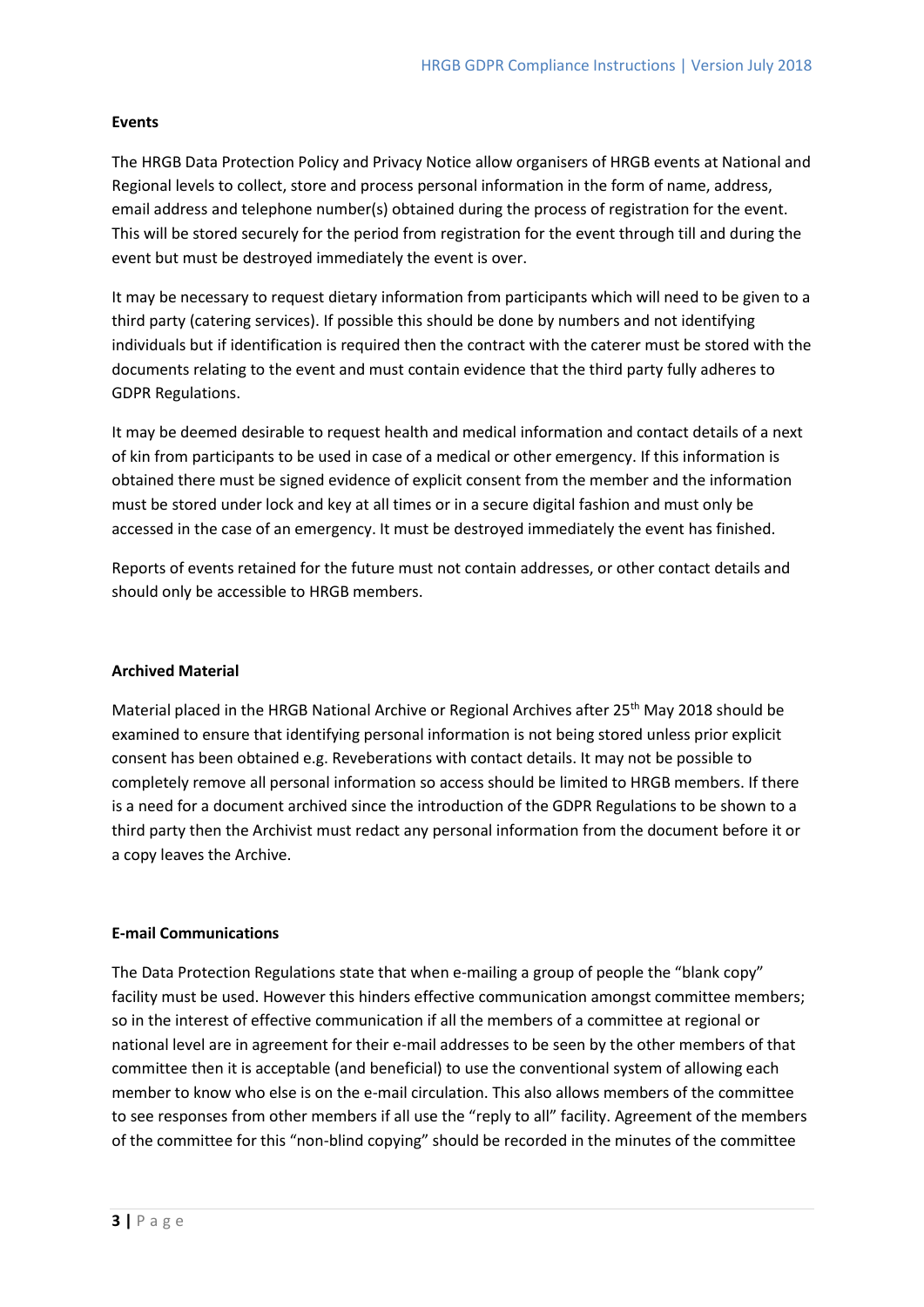### **Events**

The HRGB Data Protection Policy and Privacy Notice allow organisers of HRGB events at National and Regional levels to collect, store and process personal information in the form of name, address, email address and telephone number(s) obtained during the process of registration for the event. This will be stored securely for the period from registration for the event through till and during the event but must be destroyed immediately the event is over.

It may be necessary to request dietary information from participants which will need to be given to a third party (catering services). If possible this should be done by numbers and not identifying individuals but if identification is required then the contract with the caterer must be stored with the documents relating to the event and must contain evidence that the third party fully adheres to GDPR Regulations.

It may be deemed desirable to request health and medical information and contact details of a next of kin from participants to be used in case of a medical or other emergency. If this information is obtained there must be signed evidence of explicit consent from the member and the information must be stored under lock and key at all times or in a secure digital fashion and must only be accessed in the case of an emergency. It must be destroyed immediately the event has finished.

Reports of events retained for the future must not contain addresses, or other contact details and should only be accessible to HRGB members.

#### **Archived Material**

Material placed in the HRGB National Archive or Regional Archives after 25<sup>th</sup> May 2018 should be examined to ensure that identifying personal information is not being stored unless prior explicit consent has been obtained e.g. Reveberations with contact details. It may not be possible to completely remove all personal information so access should be limited to HRGB members. If there is a need for a document archived since the introduction of the GDPR Regulations to be shown to a third party then the Archivist must redact any personal information from the document before it or a copy leaves the Archive.

#### **E-mail Communications**

The Data Protection Regulations state that when e-mailing a group of people the "blank copy" facility must be used. However this hinders effective communication amongst committee members; so in the interest of effective communication if all the members of a committee at regional or national level are in agreement for their e-mail addresses to be seen by the other members of that committee then it is acceptable (and beneficial) to use the conventional system of allowing each member to know who else is on the e-mail circulation. This also allows members of the committee to see responses from other members if all use the "reply to all" facility. Agreement of the members of the committee for this "non-blind copying" should be recorded in the minutes of the committee